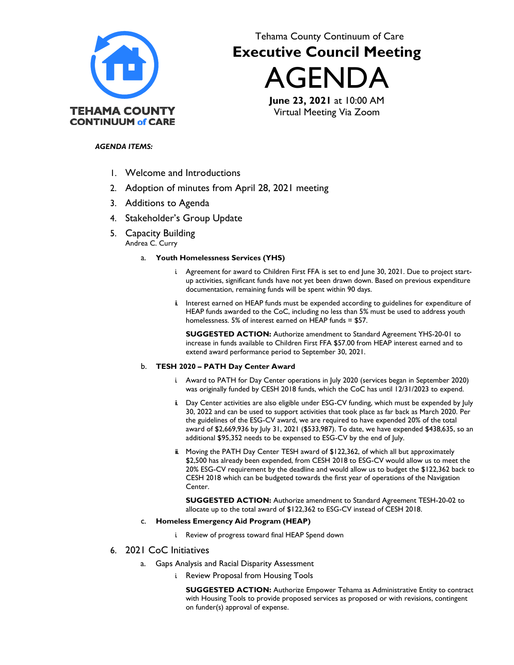

# Tehama County Continuum of Care **Executive Council Meeting**

AGENDA

**June 23, 2021** at 10:00 AM Virtual Meeting Via Zoom

# *AGENDA ITEMS:*

- 1. Welcome and Introductions
- 2. Adoption of minutes from April 28, 2021 meeting
- 3. Additions to Agenda
- 4. Stakeholder's Group Update
- 5. Capacity Building Andrea C. Curry

## a. **Youth Homelessness Services (YHS)**

- i. Agreement for award to Children First FFA is set to end June 30, 2021. Due to project startup activities, significant funds have not yet been drawn down. Based on previous expenditure documentation, remaining funds will be spent within 90 days.
- ii. Interest earned on HEAP funds must be expended according to guidelines for expenditure of HEAP funds awarded to the CoC, including no less than 5% must be used to address youth homelessness. 5% of interest earned on HEAP funds = \$57.

**SUGGESTED ACTION:** Authorize amendment to Standard Agreement YHS-20-01 to increase in funds available to Children First FFA \$57.00 from HEAP interest earned and to extend award performance period to September 30, 2021.

## b. **TESH 2020 – PATH Day Center Award**

- i. Award to PATH for Day Center operations in July 2020 (services began in September 2020) was originally funded by CESH 2018 funds, which the CoC has until 12/31/2023 to expend.
- ii. Day Center activities are also eligible under ESG-CV funding, which must be expended by July 30, 2022 and can be used to support activities that took place as far back as March 2020. Per the guidelines of the ESG-CV award, we are required to have expended 20% of the total award of \$2,669,936 by July 31, 2021 (\$533,987). To date, we have expended \$438,635, so an additional \$95,352 needs to be expensed to ESG-CV by the end of July.
- ii. Moving the PATH Day Center TESH award of \$122,362, of which all but approximately \$2,500 has already been expended, from CESH 2018 to ESG-CV would allow us to meet the 20% ESG-CV requirement by the deadline and would allow us to budget the \$122,362 back to CESH 2018 which can be budgeted towards the first year of operations of the Navigation Center.

**SUGGESTED ACTION:** Authorize amendment to Standard Agreement TESH-20-02 to allocate up to the total award of \$122,362 to ESG-CV instead of CESH 2018.

#### c. **Homeless Emergency Aid Program (HEAP)**

i. Review of progress toward final HEAP Spend down

# 6. 2021 CoC Initiatives

- a. Gaps Analysis and Racial Disparity Assessment
	- i. Review Proposal from Housing Tools

**SUGGESTED ACTION:** Authorize Empower Tehama as Administrative Entity to contract with Housing Tools to provide proposed services as proposed or with revisions, contingent on funder(s) approval of expense.